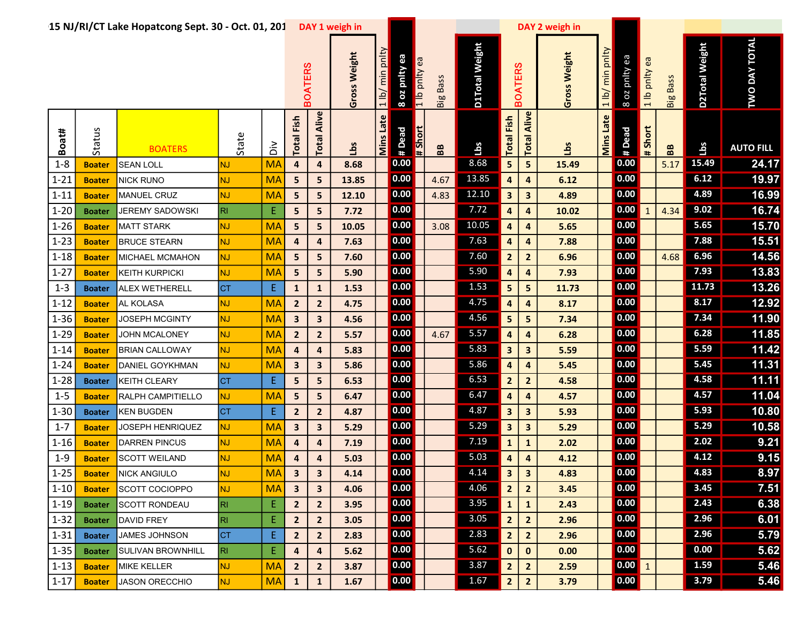|            |               | 15 NJ/RI/CT Lake Hopatcong Sept. 30 - Oct. 01, 201 |           |                    |                         |                         | DAY 1 weigh in  |                                |                |               |                 |                |                         |                         | DAY 2 weigh in |                  |                                                         |                  |                 |                |                      |
|------------|---------------|----------------------------------------------------|-----------|--------------------|-------------------------|-------------------------|-----------------|--------------------------------|----------------|---------------|-----------------|----------------|-------------------------|-------------------------|----------------|------------------|---------------------------------------------------------|------------------|-----------------|----------------|----------------------|
|            |               |                                                    |           |                    |                         | <b>BOATERS</b>          | Weight<br>Gross | pnlty<br>min<br>1 <sub>1</sub> | 8 oz pnity ea  | 1 lb pnlty ea | <b>Big Bass</b> | D1Total Weight | <b>BOATERS</b>          |                         | Gross Weight   | 1 lb/ min pnlty  | 8 oz pnity ea                                           | ea<br>1 lb pnlty | <b>Big Bass</b> | D2Total Weight | <b>TWO DAY TOTAL</b> |
| Boat#      | Status        | <b>BOATERS</b>                                     | State     | $\frac{2}{\Omega}$ | Fish<br>Total           | Alive<br>Total          | Lbs             | Mins Late                      | # Dead         | # Short       | 88              | <b>Lbs</b>     | Fish<br>Total           | Alive<br>Total          | Lbs            | <b>Mins Late</b> | # Dead                                                  | $#$ Short        | BB              | å              | <b>AUTO FILL</b>     |
| $1 - 8$    | <b>Boater</b> | <b>SEAN LOLL</b>                                   | Ñ         | <b>MA</b>          | $\pmb{4}$               | $\pmb{4}$               | 8.68            |                                | 0.00           |               |                 | 8.68           | 5                       | 5                       | 15.49          |                  | 0.00                                                    |                  | 5.17            | 15.49          | 24.17                |
| $1 - 21$   | <b>Boater</b> | <b>NICK RUNO</b>                                   | Ŵ         | <b>MA</b>          | 5                       | $5\phantom{.0}$         | 13.85           |                                | 0.00           |               | 4.67            | 13.85          | 4                       | $\overline{\mathbf{4}}$ | 6.12           |                  | 0.00                                                    |                  |                 | 6.12           | 19.97                |
| $1 - 11$   | <b>Boater</b> | MANUEL CRUZ                                        | Ñ         | <b>MA</b>          | 5 <sub>5</sub>          | 5                       | 12.10           |                                | 0.00           |               | 4.83            | 12.10          | 3                       | $\overline{\mathbf{3}}$ | 4.89           |                  | 0.00                                                    |                  |                 | 4.89           | 16.99                |
| $1 - 20$   | <b>Boater</b> | <b>JEREMY SADOWSKI</b>                             | R         | E                  | 5                       | 5                       | 7.72            |                                | 0.00           |               |                 | 7.72           | 4                       | 4                       | 10.02          |                  | 0.00                                                    |                  | 4.34            | 9.02           | 16.74                |
| $1 - 26$   | <b>Boater</b> | <b>MATT STARK</b>                                  | ΝJ        | <b>MA</b>          | $5\phantom{a}$          | 5                       | 10.05           |                                | 0.00           |               | 3.08            | 10.05          | 4                       | 4                       | 5.65           |                  | 0.00                                                    |                  |                 | $5.65$         | 15.70                |
| $1 - 23$   | <b>Boater</b> | <b>BRUCE STEARN</b>                                | ΝJ        | <b>MA</b>          | $\overline{a}$          | $\overline{\mathbf{4}}$ | 7.63            |                                | 0.00           |               |                 | 7.63           | 4                       | $\overline{\mathbf{4}}$ | 7.88           |                  | 0.00                                                    |                  |                 | 7.88           | 15.51                |
| $1 - 18$   | <b>Boater</b> | MICHAEL MCMAHON                                    | NJ.       | <b>MA</b>          | 5                       | 5                       | 7.60            |                                | 0.00           |               |                 | 7.60           | $\mathbf{2}$            | $\mathbf{2}$            | 6.96           |                  | 0.00                                                    |                  | 4.68            | 6.96           | 14.56                |
| $1 - 27$   | <b>Boater</b> | <b>KEITH KURPICKI</b>                              | <b>NJ</b> | <b>MA</b>          | $5\phantom{a}$          | $5\phantom{a}$          | 5.90            |                                | 0.00           |               |                 | 5.90           | $\overline{\mathbf{a}}$ | 4                       | 7.93           |                  | 0.00                                                    |                  |                 | 7.93           | 13.83                |
| $1 - 3$    | <b>Boater</b> | ALEX WETHERELL                                     | <b>CT</b> | E.                 | $\mathbf{1}$            | $\mathbf{1}$            | 1.53            |                                | 0.00           |               |                 | 1.53           | 5                       | 5                       | 11.73          |                  | 0.00                                                    |                  |                 | 11.73          | 13.26                |
| $1 - 12$   | <b>Boater</b> | AL KOLASA                                          | ÑJ        | <b>MA</b>          | $\overline{2}$          | $\overline{2}$          | 4.75            |                                | 0.00           |               |                 | 4.75           | 4                       | $\overline{\mathbf{4}}$ | 8.17           |                  | 0.00                                                    |                  |                 | 8.17           | 12.92                |
| $1 - 36$   | <b>Boater</b> | JOSEPH MCGINTY                                     | NJ.       | <b>MA</b>          | $\mathbf{3}$            | $\mathbf{3}$            | 4.56            |                                | 0.00           |               |                 | 4.56           | 5                       | 5                       | 7.34           |                  | 0.00                                                    |                  |                 | 7.34           | 11.90                |
| $1 - 29$   | <b>Boater</b> | <b>JOHN MCALONEY</b>                               | ÑJ        | <b>MA</b>          | $\overline{2}$          | $\mathbf{2}$            | 5.57            |                                | 0.00           |               | 4.67            | 5.57           | 4                       | $\overline{\mathbf{4}}$ | 6.28           |                  | 0.00                                                    |                  |                 | 6.28           | 11.85                |
| $1 - 14$   | <b>Boater</b> | <b>BRIAN CALLOWAY</b>                              | IJ        | <b>MA</b>          | $\overline{\mathbf{4}}$ | $\overline{\mathbf{a}}$ | 5.83            |                                | 0.00           |               |                 | 5.83           | $\overline{\mathbf{3}}$ | $\overline{\mathbf{3}}$ | 5.59           |                  | 0.00                                                    |                  |                 | 5.59           | 11.42                |
| $1 - 24$   | <b>Boater</b> | DANIEL GOYKHMAN                                    | <b>U</b>  | <b>MA</b>          | $\mathbf{3}$            | $\mathbf{3}$            | 5.86            |                                | 0.00           |               |                 | 5.86           | 4                       | $\overline{\mathbf{a}}$ | 5.45           |                  | 0.00                                                    |                  |                 | 5.45           | 11.31                |
| $1 - 28$   | <b>Boater</b> | KEITH CLEARY                                       | CT        | E                  | 5                       | 5                       | 6.53            |                                | 0.00           |               |                 | 6.53           | $\mathbf{2}$            | $\mathbf{2}$            | 4.58           |                  | 0.00                                                    |                  |                 | 4.58           | 11.11                |
| $1-5$      | <b>Boater</b> | RALPH CAMPITIELLO                                  | NJ.       | <b>MA</b>          | 5                       | 5                       | 6.47            |                                | 0.00           |               |                 | 6.47           | 4                       | 4                       | 4.57           |                  | 0.00                                                    |                  |                 | 4.57           | 11.04                |
| $1 - 30$   | <b>Boater</b> | <b>KEN BUGDEN</b>                                  | <b>CT</b> | E                  | $\overline{2}$          | $\overline{2}$          | 4.87            |                                | 0.00           |               |                 | 4.87           | 3                       | $\overline{\mathbf{3}}$ | 5.93           |                  | 0.00                                                    |                  |                 | 5.93           | 10.80                |
| $1 - 7$    | <b>Boater</b> | JOSEPH HENRIQUEZ                                   | NJ.       | <b>MA</b>          | $\overline{\mathbf{3}}$ | $\overline{\mathbf{3}}$ | 5.29            |                                | 0.00           |               |                 | 5.29           | 3                       | 3                       | 5.29           |                  | 0.00                                                    |                  |                 | 5.29           | 10.58                |
| $1 - 16$   | <b>Boater</b> | <b>DARREN PINCUS</b>                               | NJ        | <b>MA</b>          | $\overline{\mathbf{a}}$ | $\overline{\mathbf{4}}$ | 7.19            |                                | 0.00           |               |                 | 7.19           | $\mathbf{1}$            | $\mathbf{1}$            | 2.02           |                  | 0.00                                                    |                  |                 | 2.02           | 9.21                 |
| $1 - 9$    | <b>Boater</b> | <b>SCOTT WEILAND</b>                               | ΝJ        | <b>MA</b>          | 4                       | 4                       | 5.03            |                                | 0.00           |               |                 | 5.03           | 4                       | 4                       | 4.12           |                  | 0.00                                                    |                  |                 | 4.12           | 9.15                 |
| $1-25$     | <b>Boater</b> | NICK ANGIULO                                       | ΝJ        | <b>MA</b>          | $\overline{\mathbf{3}}$ | $\overline{\mathbf{3}}$ | 4.14            |                                | $\boxed{0.00}$ |               |                 | 4.14           | $\overline{\mathbf{3}}$ | $\overline{\mathbf{3}}$ | 4.83           |                  | $\boxed{0.00}$                                          |                  |                 | 4.83           | 8.97                 |
| $ 1-10 $   | <b>Boater</b> | SCOTT COCIOPPO                                     | <b>NJ</b> | <b>MA</b>          | $\overline{\mathbf{3}}$ | $\overline{\mathbf{3}}$ | 4.06            |                                | 0.00           |               |                 | 4.06           | $2^{\circ}$             | $\overline{2}$          | 3.45           |                  | 0.00                                                    |                  |                 | 3.45           | 7.51                 |
| $ 1-19 $   | <b>Boater</b> | <b>SCOTT RONDEAU</b>                               | R         | E                  | $\overline{2}$          | $\overline{2}$          | 3.95            |                                | 0.00           |               |                 | 3.95           | $\mathbf{1}$            | $\mathbf{1}$            | 2.43           |                  | 0.00                                                    |                  |                 | 2.43           | 6.38                 |
| $1-32$     | <b>Boater</b> | DAVID FREY                                         | R         | E.                 | $\overline{2}$          | $\overline{2}$          | 3.05            |                                | 0.00           |               |                 | 3.05           | $\overline{2}$          | $\overline{2}$          | 2.96           |                  | $\vert 0.00 \vert$                                      |                  |                 | 2.96           | 6.01                 |
| $1 - 31$   | <b>Boater</b> | <b>JAMES JOHNSON</b>                               | <b>CT</b> | E                  | $\overline{2}$          | $\overline{2}$          | 2.83            |                                | 0.00           |               |                 | 2.83           | $\overline{2}$          | $\overline{2}$          | 2.96           |                  | 0.00                                                    |                  |                 | 2.96           | 5.79                 |
| $ 1 - 35 $ | <b>Boater</b> | <b>SULIVAN BROWNHILL</b>                           | RI        | E.                 | $\overline{\mathbf{4}}$ | $\overline{\mathbf{4}}$ | 5.62            |                                | 0.00           |               |                 | 5.62           | $\mathbf{0}$            | $\mathbf 0$             | 0.00           |                  | 0.00                                                    |                  |                 | 0.00           | 5.62                 |
| $1 - 13$   | <b>Boater</b> | <b>MIKE KELLER</b>                                 | NJ.       | <b>MA</b>          | $\overline{2}$          | $\overline{2}$          | 3.87            |                                | 0.00           |               |                 | 3.87           | $2^{\circ}$             | $\overline{2}$          | 2.59           |                  | $\begin{array}{ c c c }\n\hline\n0.00 & 1\n\end{array}$ |                  |                 | 1.59           | 5.46                 |
| $1 - 17$   | <b>Boater</b> | JASON ORECCHIO                                     | NJ.       | <b>MA</b>          | $\mathbf{1}$            | $\mathbf{1}$            | 1.67            |                                | 0.00           |               |                 | 1.67           | $\overline{2}$          | $\overline{2}$          | 3.79           |                  | 0.00                                                    |                  |                 | 3.79           | 5.46                 |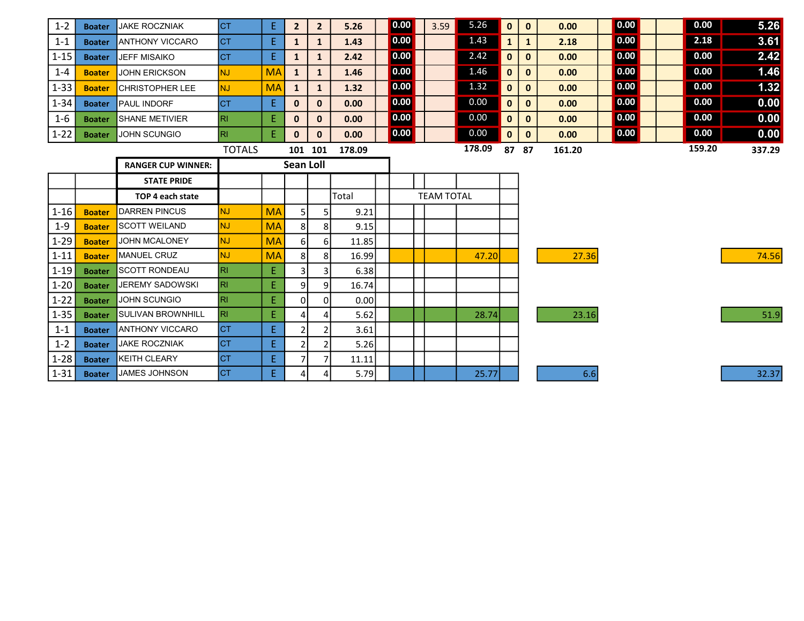| $1 - 2$             | <b>Boater</b> | <b>JAKE ROCZNIAK</b>                               | <b>CT</b>     | Ε.        | $\overline{2}$   | $\mathbf{2}$ | 5.26         | 0.00 | 3.59              | 5.26   | $\mathbf{0}$ | $\mathbf{0}$ | 0.00   | 0.00 | 0.00   | 5.26   |
|---------------------|---------------|----------------------------------------------------|---------------|-----------|------------------|--------------|--------------|------|-------------------|--------|--------------|--------------|--------|------|--------|--------|
| $1 - 1$             | <b>Boater</b> | <b>IANTHONY VICCARO</b>                            | <b>CT</b>     | E.        | $\mathbf{1}$     | $\mathbf{1}$ | 1.43         | 0.00 |                   | 1.43   | 1            | $\mathbf{1}$ | 2.18   | 0.00 | 2.18   | 3.61   |
| $1 - 15$            | <b>Boater</b> | <b>JEFF MISAIKO</b>                                | ICT.          | E.        | $\mathbf{1}$     | $\mathbf{1}$ | 2.42         | 0.00 |                   | 2.42   | $\mathbf{0}$ | $\mathbf{0}$ | 0.00   | 0.00 | 0.00   | 2.42   |
| $1 - 4$             | <b>Boater</b> | JOHN ERICKSON                                      | NJ.           | <b>MA</b> | $\mathbf{1}$     | $\mathbf{1}$ | 1.46         | 0.00 |                   | 1.46   | 0            | $\mathbf{0}$ | 0.00   | 0.00 | 0.00   | 1.46   |
| $1 - 33$            | <b>Boater</b> | <b>CHRISTOPHER LEE</b>                             | NJ.           | <b>MA</b> | $\mathbf{1}$     | $\mathbf{1}$ | 1.32         | 0.00 |                   | 1.32   | $\mathbf{0}$ | $\mathbf{0}$ | 0.00   | 0.00 | 0.00   | $1.32$ |
| $1 - 34$            | <b>Boater</b> | <b>PAUL INDORF</b>                                 | Iст           | E.        | $\mathbf{0}$     | $\mathbf{0}$ | 0.00         | 0.00 |                   | 0.00   | 0            | $\mathbf{0}$ | 0.00   | 0.00 | 0.00   | 0.00   |
| $1 - 6$             | <b>Boater</b> | <b>SHANE METIVIER</b>                              | IRL           | E         | $\mathbf{0}$     | $\mathbf{0}$ | 0.00         | 0.00 |                   | 0.00   | $\mathbf{0}$ | $\mathbf{0}$ | 0.00   | 0.00 | 0.00   | 0.00   |
| $1 - 22$            | <b>Boater</b> | <b>JOHN SCUNGIO</b>                                | RI.           | E.        | $\mathbf{0}$     | $\mathbf{0}$ | 0.00         | 0.00 |                   | 0.00   | $\mathbf{0}$ | $\mathbf{0}$ | 0.00   | 0.00 | 0.00   | 0.00   |
|                     |               |                                                    | <b>TOTALS</b> |           |                  | 101 101      | 178.09       |      |                   | 178.09 | 87           | 87           | 161.20 |      | 159.20 | 337.29 |
|                     |               | <b>RANGER CUP WINNER:</b>                          |               |           | <b>Sean Loll</b> |              |              |      |                   |        |              |              |        |      |        |        |
|                     |               |                                                    |               |           |                  |              |              |      |                   |        |              |              |        |      |        |        |
|                     |               | <b>STATE PRIDE</b>                                 |               |           |                  |              |              |      |                   |        |              |              |        |      |        |        |
|                     |               | TOP 4 each state                                   |               |           |                  |              | Total        |      | <b>TEAM TOTAL</b> |        |              |              |        |      |        |        |
| $1 - 16$            | <b>Boater</b> | <b>DARREN PINCUS</b>                               | NJ.           | <b>MA</b> | 51               | 5            | 9.21         |      |                   |        |              |              |        |      |        |        |
| $1 - 9$             | <b>Boater</b> | <b>ISCOTT WEILAND</b>                              | NJ.           | <b>MA</b> | 8 <sup>1</sup>   | 8            | 9.15         |      |                   |        |              |              |        |      |        |        |
| $1 - 29$            | <b>Boater</b> | JOHN MCALONEY                                      | NJ.           | <b>MA</b> | $6 \mid$         | 6            | 11.85        |      |                   |        |              |              |        |      |        |        |
| $1 - 11$            | <b>Boater</b> | <b>MANUEL CRUZ</b>                                 | NJ.           | <b>MA</b> | 8                | 8            | 16.99        |      |                   | 47.20  |              |              | 27.36  |      |        | 74.56  |
| $1 - 19$            | <b>Boater</b> | ISCOTT RONDEAU                                     | IRI.          | E.        | 31               | 3            | 6.38         |      |                   |        |              |              |        |      |        |        |
| $1 - 20$            | <b>Boater</b> | <b>JEREMY SADOWSKI</b>                             | RI.           | E.        | 91               | 9            | 16.74        |      |                   |        |              |              |        |      |        |        |
| $1 - 22$            | <b>Boater</b> | JOHN SCUNGIO                                       | RI            | E.        | 01               | 0            | 0.001        |      |                   |        |              |              |        |      |        |        |
| $1 - 35$<br>$1 - 1$ | <b>Boater</b> | <b>SULIVAN BROWNHILL</b><br><b>ANTHONY VICCARO</b> | IRI.<br>Іст   | E.<br>E.  | 4                | 4            | 5.62<br>3.61 |      |                   | 28.74  |              |              | 23.16  |      |        | 51.9   |

1-31 Boater JAMES JOHNSON CT E 4 4 5.79 1 32.37

1-2 Boater JAKE ROCZNIAK CT E 2 2 5.26 1-28 Boater KEITH CLEARY CT E 7 7 11.11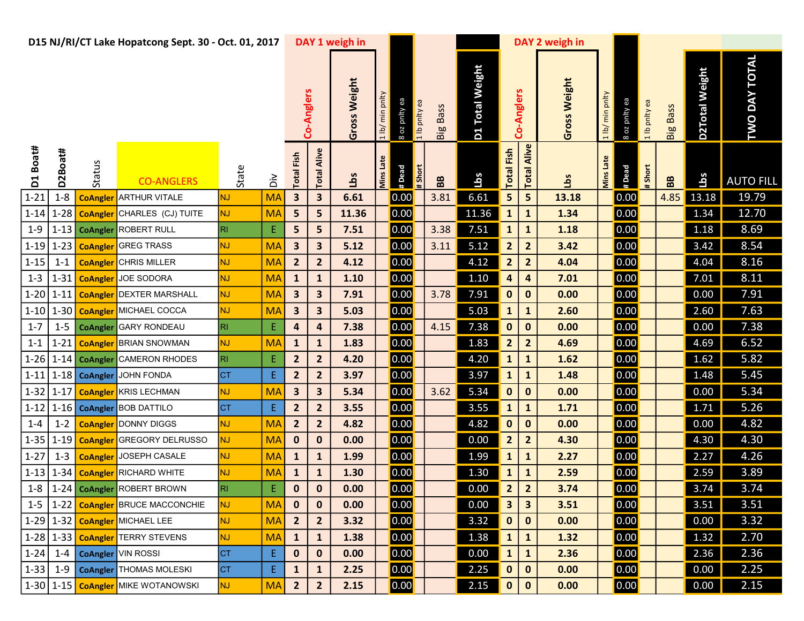|          |          |                 | D15 NJ/RI/CT Lake Hopatcong Sept. 30 - Oct. 01, 2017 |           |                         |                         |                         | DAY 1 weigh in |                                  |                           |                 |                        |                         | DAY 2 weigh in |                  |                |               |                 |                |                      |
|----------|----------|-----------------|------------------------------------------------------|-----------|-------------------------|-------------------------|-------------------------|----------------|----------------------------------|---------------------------|-----------------|------------------------|-------------------------|----------------|------------------|----------------|---------------|-----------------|----------------|----------------------|
|          |          |                 |                                                      |           |                         |                         | Co-Anglers              | Gross Weight   | 1 lb/ min pnlty<br>8 oz pnity ea | a lb pnity ea<br>Big Bass | D1 Total Weight |                        | Co-Anglers              | Gross Weight   | 1 lb/ min pnlty  | 8 oz pnity ea  | a lb pnlty ea | <b>Big Bass</b> | D2Total Weight | <b>TWO DAY TOTAL</b> |
| D1 Boat# | D2Boat#  | Status          | <b>CO-ANGLERS</b>                                    | State     | $\tilde{a}$             | <b>Total Fish</b>       | Alive<br>Total          | Lbs            | Mins Late<br># Dead              | #Short<br>BB              | <u>sqri</u>     | <b>Total Fish</b>      | Alive<br><b>Total</b>   | <u>ig</u>      | <b>Mins Late</b> | # Dead         | #Short        | BB              | <b>Lbs</b>     | <b>AUTO FILL</b>     |
| $1 - 21$ | $1 - 8$  | <b>CoAngler</b> | <b>ARTHUR VITALE</b>                                 | <b>NJ</b> | <b>MA</b>               | $\overline{\mathbf{3}}$ | $\overline{\mathbf{3}}$ | 6.61           | 0.00                             | 3.81                      | 6.61            | 5 <sub>5</sub>         | 5                       | 13.18          |                  | 0.00           |               | 4.85            | 13.18          | 19.79                |
| $1 - 14$ | $1 - 28$ |                 | <b>CoAngler</b> CHARLES (CJ) TUITE                   | <b>NJ</b> | <b>MA</b>               | 5                       | 5                       | 11.36          | 0.00                             |                           | 11.36           | $\mathbf{1}$           | $\mathbf{1}$            | 1.34           |                  | 0.00           |               |                 | 1.34           | 12.70                |
| $1 - 9$  |          |                 | 1-13 CoAngler ROBERT RULL                            | R         | ${\sf E}$               | 5                       | $\overline{\mathbf{5}}$ | 7.51           | 0.00                             | 3.38                      | 7.51            | $\mathbf{1}$           | ${\bf 1}$               | 1.18           |                  | 0.00           |               |                 | 1.18           | 8.69                 |
| $1 - 19$ | $1 - 23$ |                 | <b>CoAngler</b> GREG TRASS                           | <b>NJ</b> | <b>MA</b>               | $\overline{\mathbf{3}}$ | 3                       | 5.12           | 0.00                             | 3.11                      | 5.12            | $\overline{2}$         | $\overline{2}$          | 3.42           |                  | 0.00           |               |                 | 3.42           | 8.54                 |
| $1 - 15$ | $1 - 1$  |                 | <b>CoAngler</b> CHRIS MILLER                         | <b>NJ</b> | <b>MA</b>               | $\overline{2}$          | $\overline{2}$          | 4.12           | 0.00                             |                           | 4.12            | $\overline{2}$         | $\overline{\mathbf{2}}$ | 4.04           |                  | 0.00           |               |                 | 4.04           | 8.16                 |
| $1 - 3$  | $1 - 31$ |                 | <b>CoAngler</b> JOE SODORA                           | <b>NJ</b> | <b>MA</b>               | $\mathbf{1}$            | $\mathbf 1$             | 1.10           | 0.00                             |                           | 1.10            | 4                      | $\overline{\mathbf{4}}$ | 7.01           |                  | 0.00           |               |                 | 7.01           | 8.11                 |
| $1 - 20$ | $1 - 11$ |                 | <b>CoAngler DEXTER MARSHALL</b>                      | <b>NJ</b> | <b>MA</b>               | $\overline{\mathbf{3}}$ | $\overline{\mathbf{3}}$ | 7.91           | 0.00                             | 3.78                      | 7.91            | $\mathbf{0}$           | $\mathbf 0$             | 0.00           |                  | 0.00           |               |                 | 0.00           | 7.91                 |
| $1 - 10$ | $1 - 30$ |                 | <b>CoAngler</b> MICHAEL COCCA                        | <b>NJ</b> | <b>MA</b>               | $\overline{\mathbf{3}}$ | $\overline{\mathbf{3}}$ | 5.03           | 0.00                             |                           | 5.03            | $\mathbf{1}$           | $\mathbf{1}$            | 2.60           |                  | 0.00           |               |                 | 2.60           | 7.63                 |
| $1 - 7$  | $1 - 5$  |                 | <b>CoAngler</b> GARY RONDEAU                         | R         | $\mathsf E$             | $\overline{\mathbf{a}}$ | $\overline{\mathbf{r}}$ | 7.38           | 0.00                             | 4.15                      | 7.38            | $\pmb{0}$              | $\mathbf 0$             | 0.00           |                  | 0.00           |               |                 | 0.00           | 7.38                 |
| $1 - 1$  | $1 - 21$ |                 | <b>CoAngler BRIAN SNOWMAN</b>                        | <b>NJ</b> | <b>MA</b>               | $\mathbf{1}$            | $\mathbf{1}$            | 1.83           | 0.00                             |                           | 1.83            | $\overline{2}$         | $\overline{2}$          | 4.69           |                  | 0.00           |               |                 | 4.69           | 6.52                 |
| $1 - 26$ |          | 1-14 CoAngler   | <b>CAMERON RHODES</b>                                | R         | $\mathsf E$             | $\overline{2}$          | $\overline{2}$          | 4.20           | 0.00                             |                           | 4.20            | $\mathbf{1}$           | $\mathbf{1}$            | 1.62           |                  | 0.00           |               |                 | 1.62           | 5.82                 |
| $1 - 11$ |          | 1-18 CoAngler   | JOHN FONDA                                           | <b>CT</b> | E                       | $\overline{2}$          | $\overline{2}$          | 3.97           | 0.00                             |                           | 3.97            | $\mathbf{1}$           | ${\bf 1}$               | 1.48           |                  | 0.00           |               |                 | 1.48           | 5.45                 |
| $1 - 32$ | $1 - 17$ |                 | <b>CoAngler</b> KRIS LECHMAN                         | <b>NJ</b> | <b>MA</b>               | $\overline{\mathbf{3}}$ | $\overline{\mathbf{3}}$ | 5.34           | 0.00                             | 3.62                      | 5.34            | $\mathbf{0}$           | $\mathbf 0$             | 0.00           |                  | 0.00           |               |                 | 0.00           | 5.34                 |
| $1 - 12$ | $1 - 16$ |                 | <b>CoAngler BOB DATTILO</b>                          | <b>CT</b> | $\mathsf E$             | $\overline{2}$          | $\overline{2}$          | 3.55           | 0.00                             |                           | 3.55            | $\mathbf{1}$           | $\mathbf{1}$            | 1.71           |                  | 0.00           |               |                 | 1.71           | 5.26                 |
| $1 - 4$  | $1 - 2$  |                 | <b>CoAngler</b> DONNY DIGGS                          | <b>NJ</b> | <b>MA</b>               | $\overline{2}$          | $\overline{2}$          | 4.82           | 0.00                             |                           | 4.82            | $\mathbf 0$            | $\mathbf 0$             | 0.00           |                  | 0.00           |               |                 | 0.00           | 4.82                 |
| $1 - 35$ | $1 - 19$ |                 | <b>CoAngler</b> GREGORY DELRUSSO                     | <b>NJ</b> | <b>MA</b>               | $\mathbf 0$             | $\mathbf 0$             | 0.00           | 0.00                             |                           | 0.00            | $\overline{2}$         | $\overline{\mathbf{2}}$ | 4.30           |                  | 0.00           |               |                 | 4.30           | 4.30                 |
| $1 - 27$ | $1 - 3$  |                 | <b>CoAngler</b> JOSEPH CASALE                        | <b>NJ</b> | <b>MA</b>               | $\mathbf{1}$            | $\mathbf{1}$            | 1.99           | 0.00                             |                           | 1.99            | $\mathbf{1}$           | $\mathbf{1}$            | 2.27           |                  | 0.00           |               |                 | 2.27           | 4.26                 |
| $1 - 13$ | $1 - 34$ |                 | <b>CoAngler</b> RICHARD WHITE                        | <b>NJ</b> | <b>MA</b>               | $\mathbf{1}$            | $\mathbf 1$             | 1.30           | 0.00                             |                           | 1.30            | $\mathbf{1}$           | $\mathbf{1}$            | 2.59           |                  | 0.00           |               |                 | 2.59           | 3.89                 |
|          |          |                 | 1-8 1-24 CoAngler ROBERT BROWN                       | IRL.      | $\overline{\mathsf{E}}$ | $\mathbf 0$             | $\pmb{0}$               | 0.00           | $\boxed{0.00}$                   |                           |                 | $\sim$<br>$\mathbf{z}$ | $\overline{2}$          | 3.74           |                  | $\boxed{0.00}$ |               |                 | 3.74           | 3.74                 |
|          |          |                 | 1-5   1-22   CoAngler BRUCE MACCONCHIE               | NJ.       | <b>MA</b>               | $\mathbf 0$             | $\mathbf 0$             | 0.00           | 0.00                             |                           | 0.00            | $\mathbf{3}$           | $\mathbf{3}$            | 3.51           |                  | 0.00           |               |                 | 3.51           | 3.51                 |
|          |          |                 | 1-29 1-32 CoAngler MICHAEL LEE                       | <b>NJ</b> | <b>MA</b>               | $\overline{2}$          | $\overline{2}$          | 3.32           | 0.00                             |                           | 3.32            | $\mathbf 0$            | $\mathbf{0}$            | 0.00           |                  | 0.00           |               |                 | 0.00           | 3.32                 |
|          |          |                 | 1-28 1-33 CoAngler TERRY STEVENS                     | <b>NJ</b> | <b>MA</b>               | $\mathbf{1}$            | $\mathbf{1}$            | 1.38           | 0.00                             |                           | 1.38            | $\mathbf{1}$           | $\mathbf{1}$            | 1.32           |                  | 0.00           |               |                 | 1.32           | 2.70                 |
|          |          |                 | 1-24   1-4   CoAngler   VIN ROSSI                    | <b>CT</b> | Ε                       | $\mathbf 0$             | $\pmb{0}$               | 0.00           | 0.00                             |                           | 0.00            | $\mathbf{1}$           | $\mathbf{1}$            | 2.36           |                  | 0.00           |               |                 | 2.36           | 2.36                 |
| $1 - 33$ |          |                 | 1-9   CoAngler   THOMAS MOLESKI                      | <b>CT</b> | E                       | $\mathbf{1}$            | $\mathbf{1}$            | 2.25           | 0.00                             |                           | 2.25            | $\mathbf{0}$           | $\mathbf{0}$            | 0.00           |                  | 0.00           |               |                 | 0.00           | 2.25                 |
|          |          |                 | 1-30 1-15   CoAngler MIKE WOTANOWSKI                 | NJ        | <b>MA</b>               | $\overline{2}$          | $\overline{2}$          | 2.15           | 0.00                             |                           | 2.15            | $\mathbf{0}$           | $\mathbf{0}$            | 0.00           |                  | 0.00           |               |                 | 0.00           | 2.15                 |